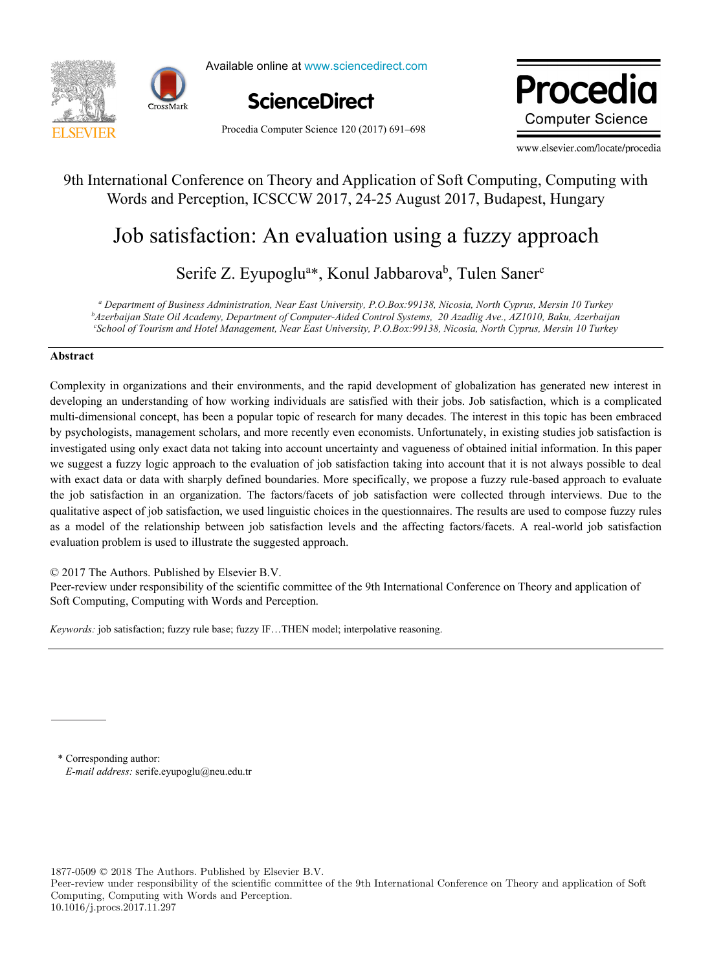



Available online at www.sciencedirect.com



Procedia Computer Science 120 (2017) 691–698

Procedia **Computer Science** 

www.elsevier.com/locate/procedia

## 9th International Conference on Theory and Application of Soft Computing, Computing with Words and Perception, ICSCCW 2017, 24-25 August 2017, Budapest, Hungary

# Job satisfaction: An evaluation using a fuzzy approach

Serife Z. Eyupoglu<sup>a\*</sup>, Konul Jabbarova<sup>b</sup>, Tulen Saner<sup>c</sup>

*a Department of Business Administration, Near East University, P.O.Box:99138, Nicosia, North Cyprus, Mersin 10 Turkey b Azerbaijan State Oil Academy, Department of Computer-Aided Control Systems, 20 Azadlig Ave., AZ1010, Baku, Azerbaijan c School of Tourism and Hotel Management, Near East University, P.O.Box:99138, Nicosia, North Cyprus, Mersin 10 Turkey* 

### **Abstract**

Complexity in organizations and their environments, and the rapid development of globalization has generated new interest in developing an understanding of how working individuals are satisfied with their jobs. Job satisfaction, which is a complicated multi-dimensional concept, has been a popular topic of research for many decades. The interest in this topic has been embraced by psychologists, management scholars, and more recently even economists. Unfortunately, in existing studies job satisfaction is investigated using only exact data not taking into account uncertainty and vagueness of obtained initial information. In this paper we suggest a fuzzy logic approach to the evaluation of job satisfaction taking into account that it is not always possible to deal with exact data or data with sharply defined boundaries. More specifically, we propose a fuzzy rule-based approach to evaluate the job satisfaction in an organization. The factors/facets of job satisfaction were collected through interviews. Due to the qualitative aspect of job satisfaction, we used linguistic choices in the questionnaires. The results are used to compose fuzzy rules as a model of the relationship between job satisfaction levels and the affecting factors/facets. A real-world job satisfaction evaluation problem is used to illustrate the suggested approach.

© 2017 The Authors. Published by Elsevier B.V.

Peer-review under responsibility of the scientific committee of the 9th International Conference on Theory and application of Soft Computing, Computing with Words and Perception.

*Keywords:* job satisfaction; fuzzy rule base; fuzzy IF…THEN model; interpolative reasoning.

\* Corresponding author: *E-mail address:* serife.eyupoglu@neu.edu.tr

1877-0509 © 2018 The Authors. Published by Elsevier B.V.

Peer-review under responsibility of the scientific committee of the 9th International Conference on Theory and application of Soft Computing, Computing with Words and Perception. 10.1016/j.procs.2017.11.297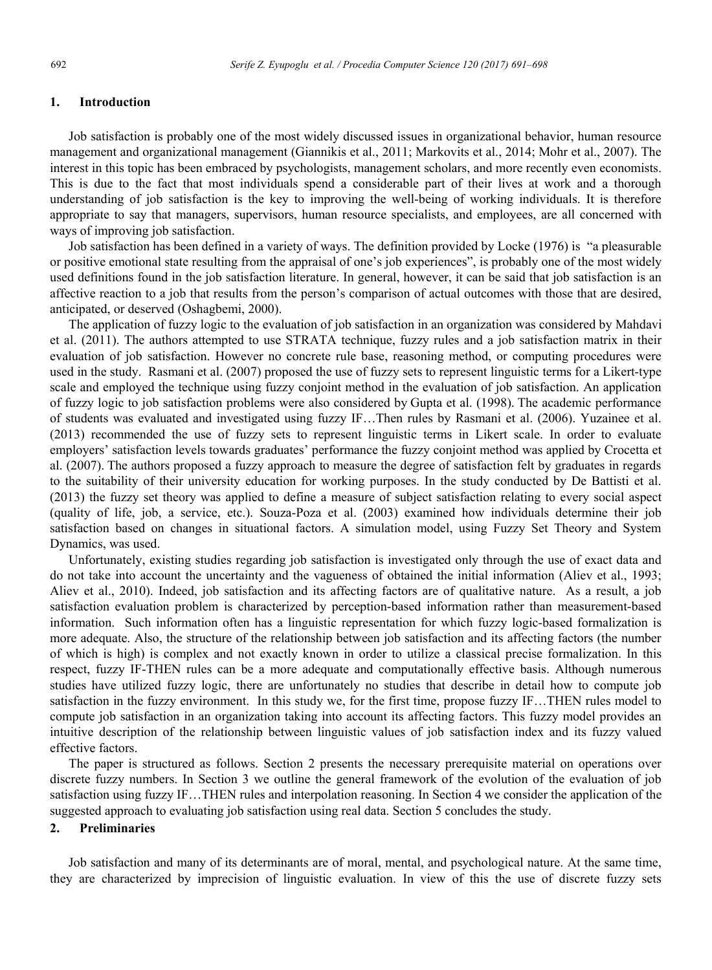### **1. Introduction**

Job satisfaction is probably one of the most widely discussed issues in organizational behavior, human resource management and organizational management (Giannikis et al., 2011; Markovits et al., 2014; Mohr et al., 2007). The interest in this topic has been embraced by psychologists, management scholars, and more recently even economists. This is due to the fact that most individuals spend a considerable part of their lives at work and a thorough understanding of job satisfaction is the key to improving the well-being of working individuals. It is therefore appropriate to say that managers, supervisors, human resource specialists, and employees, are all concerned with ways of improving job satisfaction.

Job satisfaction has been defined in a variety of ways. The definition provided by Locke (1976) is "a pleasurable or positive emotional state resulting from the appraisal of one's job experiences", is probably one of the most widely used definitions found in the job satisfaction literature. In general, however, it can be said that job satisfaction is an affective reaction to a job that results from the person's comparison of actual outcomes with those that are desired, anticipated, or deserved (Oshagbemi, 2000).

The application of fuzzy logic to the evaluation of job satisfaction in an organization was considered by Mahdavi et al. (2011). The authors attempted to use STRATA technique, fuzzy rules and a job satisfaction matrix in their evaluation of job satisfaction. However no concrete rule base, reasoning method, or computing procedures were used in the study. Rasmani et al. (2007) proposed the use of fuzzy sets to represent linguistic terms for a Likert-type scale and employed the technique using fuzzy conjoint method in the evaluation of job satisfaction. An application of fuzzy logic to job satisfaction problems were also considered by Gupta et al. (1998). The academic performance of students was evaluated and investigated using fuzzy IF…Then rules by Rasmani et al. (2006). Yuzainee et al. (2013) recommended the use of fuzzy sets to represent linguistic terms in Likert scale. In order to evaluate employers' satisfaction levels towards graduates' performance the fuzzy conjoint method was applied by Crocetta et al. (2007). The authors proposed a fuzzy approach to measure the degree of satisfaction felt by graduates in regards to the suitability of their university education for working purposes. In the study conducted by De Battisti et al. (2013) the fuzzy set theory was applied to define a measure of subject satisfaction relating to every social aspect (quality of life, job, a service, etc.). Souza-Poza et al. (2003) examined how individuals determine their job satisfaction based on changes in situational factors. A simulation model, using Fuzzy Set Theory and System Dynamics, was used.

Unfortunately, existing studies regarding job satisfaction is investigated only through the use of exact data and do not take into account the uncertainty and the vagueness of obtained the initial information (Aliev et al., 1993; Aliev et al., 2010). Indeed, job satisfaction and its affecting factors are of qualitative nature. As a result, a job satisfaction evaluation problem is characterized by perception-based information rather than measurement-based information. Such information often has a linguistic representation for which fuzzy logic-based formalization is more adequate. Also, the structure of the relationship between job satisfaction and its affecting factors (the number of which is high) is complex and not exactly known in order to utilize a classical precise formalization. In this respect, fuzzy IF-THEN rules can be a more adequate and computationally effective basis. Although numerous studies have utilized fuzzy logic, there are unfortunately no studies that describe in detail how to compute job satisfaction in the fuzzy environment. In this study we, for the first time, propose fuzzy IF…THEN rules model to compute job satisfaction in an organization taking into account its affecting factors. This fuzzy model provides an intuitive description of the relationship between linguistic values of job satisfaction index and its fuzzy valued effective factors.

The paper is structured as follows. Section 2 presents the necessary prerequisite material on operations over discrete fuzzy numbers. In Section 3 we outline the general framework of the evolution of the evaluation of job satisfaction using fuzzy IF…THEN rules and interpolation reasoning. In Section 4 we consider the application of the suggested approach to evaluating job satisfaction using real data. Section 5 concludes the study.

#### **2. Preliminaries**

Job satisfaction and many of its determinants are of moral, mental, and psychological nature. At the same time, they are characterized by imprecision of linguistic evaluation. In view of this the use of discrete fuzzy sets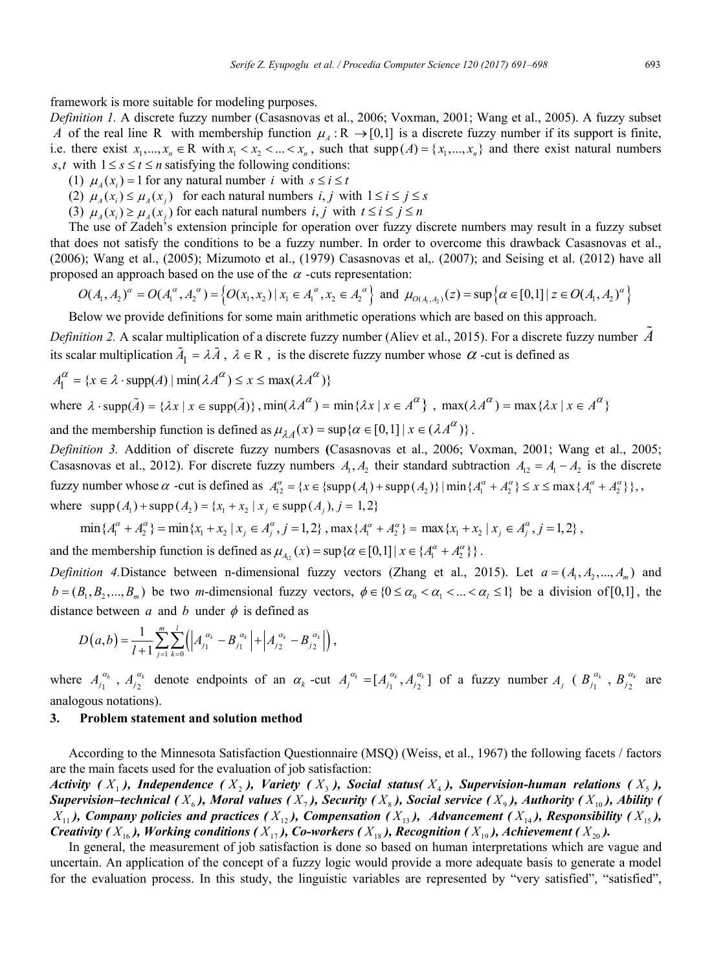framework is more suitable for modeling purposes.

*Definition 1.* A discrete fuzzy number (Casasnovas et al., 2006; Voxman, 2001; Wang et al., 2005). A fuzzy subset *A* of the real line R with membership function  $\mu_A : \mathbb{R} \to [0,1]$  is a discrete fuzzy number if its support is finite, i.e. there exist  $x_1, ..., x_n \in \mathbb{R}$  with  $x_1 < x_2 < ... < x_n$ , such that supp $(A) = \{x_1, ..., x_n\}$  and there exist natural numbers *s*,*t* with  $1 \le s \le t \le n$  satisfying the following conditions:

- (1)  $\mu_A(x_i) = 1$  for any natural number *i* with  $s \le i \le t$
- (2)  $\mu_A(x_i) \leq \mu_A(x_i)$  for each natural numbers *i*, *j* with  $1 \leq i \leq j \leq s$
- (3)  $\mu_{i}(x_i) \geq \mu_{i}(x_i)$  for each natural numbers *i*, *j* with  $t \leq i \leq j \leq n$

The use of Zadeh's extension principle for operation over fuzzy discrete numbers may result in a fuzzy subset that does not satisfy the conditions to be a fuzzy number. In order to overcome this drawback Casasnovas et al.,  $(2006)$ ; Wang et al.,  $(2005)$ ; Mizumoto et al.,  $(1979)$  Casasnovas et al.,  $(2007)$ ; and Seising et al.  $(2012)$  have all proposed an approach based on the use of the  $\alpha$  -cuts representation:

$$
O(A_1, A_2)^\alpha = O(A_1^\alpha, A_2^\alpha) = \left\{ O(x_1, x_2) \mid x_1 \in A_1^\alpha, x_2 \in A_2^\alpha \right\} \text{ and } \mu_{O(A_1, A_2)}(z) = \sup \left\{ \alpha \in [0, 1] \mid z \in O(A_1, A_2)^\alpha \right\}
$$

Below we provide definitions for some main arithmetic operations which are based on this approach.

*Definition 2.* A scalar multiplication of a discrete fuzzy number (Aliev et al., 2015). For a discrete fuzzy number *A* its scalar multiplication  $\tilde{A}_1 = \lambda \tilde{A}$ ,  $\lambda \in \mathbb{R}$ , is the discrete fuzzy number whose  $\alpha$ -cut is defined as

$$
A_1^{\alpha} = \{x \in \lambda \cdot \text{supp}(A) \mid \min(\lambda A^{\alpha}) \le x \le \max(\lambda A^{\alpha})\}
$$

where  $\lambda \cdot \text{supp}(\tilde{A}) = \{\lambda x \mid x \in \text{supp}(\tilde{A})\}\$ ,  $\min(\lambda A^{\alpha}) = \min\{\lambda x \mid x \in A^{\alpha}\}\$ ,  $\max(\lambda A^{\alpha}) = \max\{\lambda x \mid x \in A^{\alpha}\}\$ and the membership function is defined as  $\mu_{\lambda A}(x) = \sup \{ \alpha \in [0,1] | x \in (\lambda A^{\alpha}) \}$ .

*Definition 3.* Addition of discrete fuzzy numbers **(**Casasnovas et al., 2006; Voxman, 2001; Wang et al., 2005; Casasnovas et al., 2012). For discrete fuzzy numbers  $A_1, A_2$  their standard subtraction  $A_{12} = A_1 - A_2$  is the discrete fuzzy number whose  $\alpha$  -cut is defined as  $A_1^{\alpha} = \{x \in \{ \text{supp} (A_1) + \text{supp} (A_2) \} | \min \{ A_1^{\alpha} + A_2^{\alpha} \} \le x \le \max \{ A_1^{\alpha} + A_2^{\alpha} \} \}$ , where  $\text{supp} (A_1) + \text{supp} (A_2) = \{ x_1 + x_2 \mid x_i \in \text{supp} (A_i), j = 1, 2 \}$ 

$$
\min\{A_1^{\alpha}+A_2^{\alpha}\}=\min\{x_1+x_2\mid x_j\in A_j^{\alpha}, j=1,2\}, \max\{A_1^{\alpha}+A_2^{\alpha}\}=\max\{x_1+x_2\mid x_j\in A_j^{\alpha}, j=1,2\},\
$$

and the membership function is defined as  $\mu_{A_2}(x) = \sup \{ \alpha \in [0,1] \mid x \in \{ A_1^{\alpha} + A_2^{\alpha} \} \}$ .

*Definition 4.* Distance between n-dimensional fuzzy vectors (Zhang et al., 2015). Let  $a = (A_1, A_2, ..., A_m)$  and  $b = (B_1, B_2, \dots, B_m)$  be two *m*-dimensional fuzzy vectors,  $\phi \in \{0 \le \alpha_0 < \alpha_1 < \dots < \alpha_l \le 1\}$  be a division of [0,1], the distance between *a* and *b* under  $\phi$  is defined as

$$
D(a,b) = \frac{1}{l+1} \sum_{j=1}^{m} \sum_{k=0}^{l} \left( \left| A_{j_1}^{a_k} - B_{j_1}^{a_k} \right| + \left| A_{j_2}^{a_k} - B_{j_2}^{a_k} \right| \right),
$$

where  $A_{j_1}^{\alpha_k}$ ,  $A_{j_2}^{\alpha_k}$  denote endpoints of an  $\alpha_k$  -cut  $A_j^{\alpha_k} = [A_{j_1}^{\alpha_k}, A_{j_2}^{\alpha_k}]$  of a fuzzy number  $A_j$  ( $B_{j_1}^{\alpha_k}$ ,  $B_{j_2}^{\alpha_k}$  are analogous notations).

#### **3. Problem statement and solution method**

According to the Minnesota Satisfaction Questionnaire (MSQ) (Weiss, et al., 1967) the following facets / factors are the main facets used for the evaluation of job satisfaction:

*Activity*  $(X_1)$ , Independence  $(X_2)$ , Variety  $(X_3)$ , Social status( $X_4$ ), Supervision-human relations  $(X_5)$ , *Supervision–technical (*  $X_6$ ), Moral values ( $X_7$ ), Security ( $X_8$ ), Social service ( $X_9$ ), Authority ( $X_{10}$ ), Ability (  $X_{11}$ ), Company policies and practices  $(X_{12})$ , Compensation  $(X_{13})$ , Advancement  $(X_{14})$ , Responsibility  $(X_{15})$ , *Creativity (*  $X_{16}$ *), Working conditions (*  $X_{17}$ *), Co-workers (*  $X_{18}$ *), Recognition (*  $X_{19}$ *), Achievement (*  $X_{20}$ *).* 

In general, the measurement of job satisfaction is done so based on human interpretations which are vague and uncertain. An application of the concept of a fuzzy logic would provide a more adequate basis to generate a model for the evaluation process. In this study, the linguistic variables are represented by "very satisfied", "satisfied",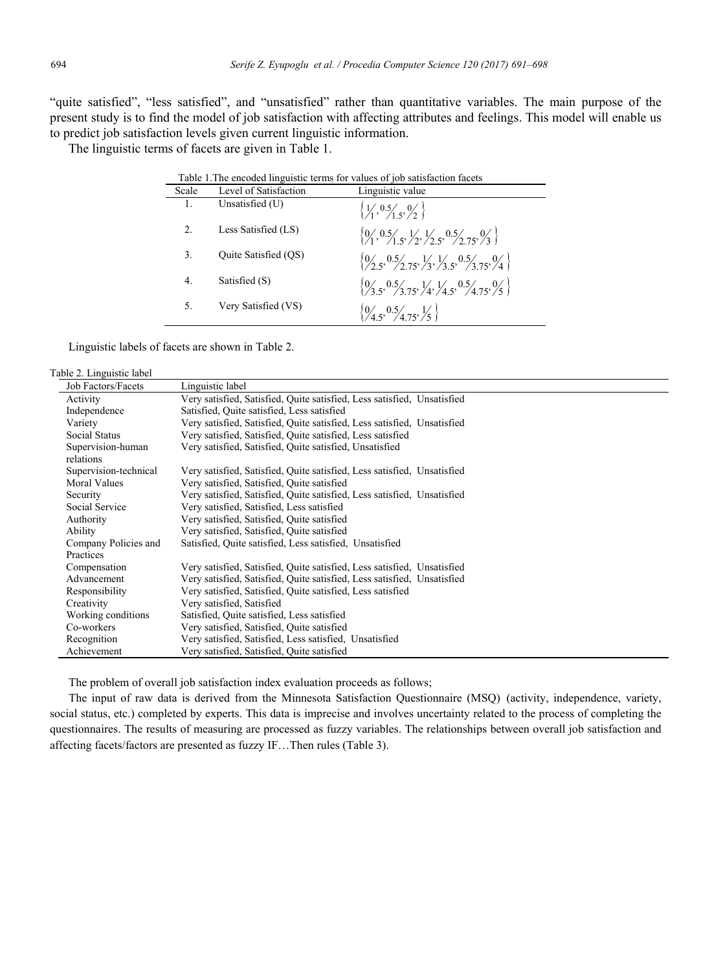"quite satisfied", "less satisfied", and "unsatisfied" rather than quantitative variables. The main purpose of the present study is to find the model of job satisfaction with affecting attributes and feelings. This model will enable us to predict job satisfaction levels given current linguistic information.

The linguistic terms of facets are given in Table 1.

| Table 1. The encoded linguistic terms for values of job satisfaction facets |                       |                                                                  |  |  |  |  |  |  |  |  |  |
|-----------------------------------------------------------------------------|-----------------------|------------------------------------------------------------------|--|--|--|--|--|--|--|--|--|
| Scale                                                                       | Level of Satisfaction | Linguistic value                                                 |  |  |  |  |  |  |  |  |  |
|                                                                             | Unsatisfied (U)       | $\{1, 0.5, 0, 0\}$                                               |  |  |  |  |  |  |  |  |  |
| 2 <sup>1</sup>                                                              | Less Satisfied (LS)   | $\{9, 0.5, 1, 1, 1, 2, 5, 0.5, 7, 7, 9, 8\}$                     |  |  |  |  |  |  |  |  |  |
| 3.                                                                          | Quite Satisfied (OS)  | $\{9/2\,5\,0.5/2\,75\}$ , $\{9/3\,5\}$ , $0.5/3\,75\,$ , $9/4\}$ |  |  |  |  |  |  |  |  |  |
| 4.                                                                          | Satisfied (S)         | $\{9/3\,5\,0.5/3\,75\}$ $\{4\,1\,4\,5\,0.5/4\,75\}$              |  |  |  |  |  |  |  |  |  |
| 5.                                                                          | Very Satisfied (VS)   | $\{0/4, 5, 0.5/4, 75, 1/5\}$                                     |  |  |  |  |  |  |  |  |  |

Linguistic labels of facets are shown in Table 2.

Table 2. Linguistic label

| Job Factors/Facets    | Linguistic label                                                        |
|-----------------------|-------------------------------------------------------------------------|
| Activity              | Very satisfied, Satisfied, Quite satisfied, Less satisfied, Unsatisfied |
| Independence          | Satisfied, Ouite satisfied, Less satisfied                              |
| Variety               | Very satisfied, Satisfied, Quite satisfied, Less satisfied, Unsatisfied |
| Social Status         | Very satisfied, Satisfied, Quite satisfied, Less satisfied              |
| Supervision-human     | Very satisfied, Satisfied, Ouite satisfied, Unsatisfied                 |
| relations             |                                                                         |
| Supervision-technical | Very satisfied, Satisfied, Quite satisfied, Less satisfied, Unsatisfied |
| <b>Moral Values</b>   | Very satisfied, Satisfied, Quite satisfied                              |
| Security              | Very satisfied, Satisfied, Quite satisfied, Less satisfied, Unsatisfied |
| Social Service        | Very satisfied, Satisfied, Less satisfied                               |
| Authority             | Very satisfied, Satisfied, Quite satisfied                              |
| Ability               | Very satisfied, Satisfied, Ouite satisfied                              |
| Company Policies and  | Satisfied, Ouite satisfied, Less satisfied, Unsatisfied                 |
| Practices             |                                                                         |
| Compensation          | Very satisfied, Satisfied, Quite satisfied, Less satisfied, Unsatisfied |
| Advancement           | Very satisfied, Satisfied, Quite satisfied, Less satisfied, Unsatisfied |
| Responsibility        | Very satisfied, Satisfied, Quite satisfied, Less satisfied              |
| Creativity            | Very satisfied, Satisfied                                               |
| Working conditions    | Satisfied, Quite satisfied, Less satisfied                              |
| Co-workers            | Very satisfied, Satisfied, Quite satisfied                              |
| Recognition           | Very satisfied, Satisfied, Less satisfied, Unsatisfied                  |
| Achievement           | Very satisfied, Satisfied, Ouite satisfied                              |

The problem of overall job satisfaction index evaluation proceeds as follows;

The input of raw data is derived from the Minnesota Satisfaction Questionnaire (MSQ) (activity, independence, variety, social status, etc.) completed by experts. This data is imprecise and involves uncertainty related to the process of completing the questionnaires. The results of measuring are processed as fuzzy variables. The relationships between overall job satisfaction and affecting facets/factors are presented as fuzzy IF…Then rules (Table 3).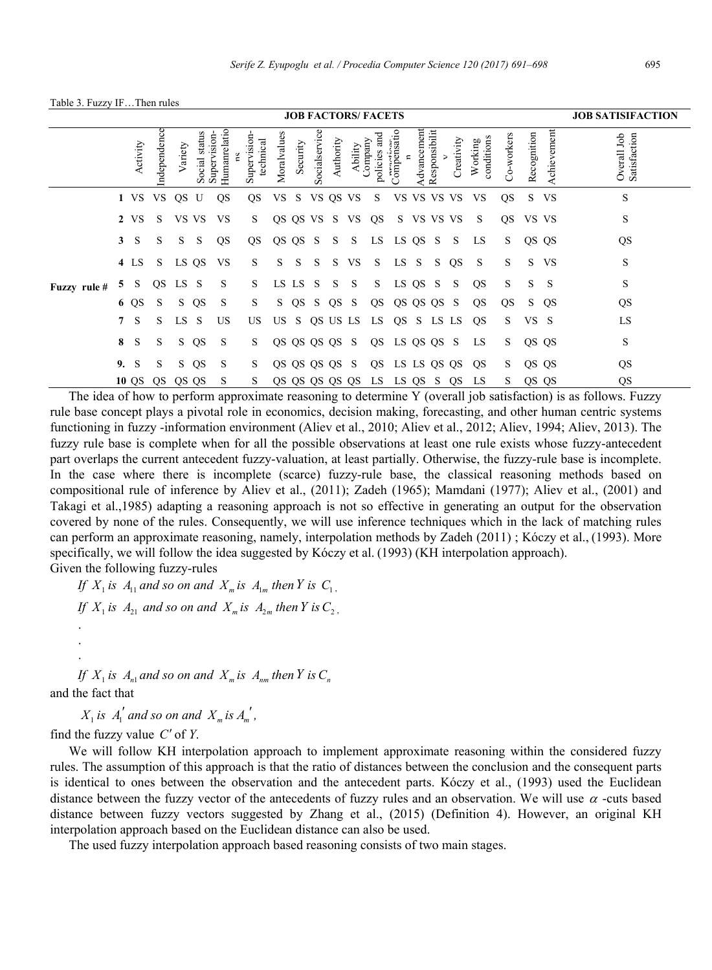Table 3. Fuzzy IF…Then rules

|              | <b>JOB FACTORS/ FACETS</b> |              |              |        |                  |                             |                          |             |          |               |                |              |                            |                |             | <b>JOB SATISIFACTION</b> |              |                       |            |             |             |                             |
|--------------|----------------------------|--------------|--------------|--------|------------------|-----------------------------|--------------------------|-------------|----------|---------------|----------------|--------------|----------------------------|----------------|-------------|--------------------------|--------------|-----------------------|------------|-------------|-------------|-----------------------------|
|              |                            | Activity     | Independence | ariety | status<br>Social | Humanrelatio<br>Supervision | Supervision<br>technical | Moralvalues | Security | Socialservice | Authority      | Ability      | and<br>Company<br>policies |                | Advancement | Responsibilit            | Creativity   | conditions<br>Working | Co-workers | Recognition | Achievement | Satisfaction<br>Overall Job |
| Fuzzy rule # |                            | 1 VS         | VS           | QS     | U                | QS                          | QS                       | VS          | S        |               | VS QS VS       |              | S                          |                |             | VS VS VS VS              |              | VS                    | QS         | S           | <b>VS</b>   | S                           |
|              |                            | 2 VS         | S            | VS VS  |                  | <b>VS</b>                   | S                        |             |          |               | QS QS VS S     |              | VS QS                      |                |             | S VS VS VS               |              | S                     | QS         | VS VS       |             | S                           |
|              | 3                          | <sup>S</sup> | S            | S      | <sup>S</sup>     | QS                          | QS                       | QS QS       |          | S             | S              | -S           | LS.                        | LS QS          |             | S.                       | <sub>S</sub> | LS                    | S          | QS QS       |             | QS                          |
|              |                            | 4 LS         | S            | LS QS  |                  | <b>VS</b>                   | S                        | S           | S        | <sub>S</sub>  | S.             | <b>VS</b>    | <sub>S</sub>               | LS             | S.          | S.                       | <b>QS</b>    | S                     | S          | S.          | <b>VS</b>   | S                           |
|              | 5                          | S.           | <b>QS</b>    | LS S   |                  | S                           | S                        |             | LS LS    | <sup>S</sup>  | S              | <sub>S</sub> | S                          |                | LS QS       | S                        | S            | QS                    | S          | S           | S           | S                           |
|              |                            | 6 QS         | S            | S.     | <b>QS</b>        | S                           | S                        | S           | QS.      | S             | QS.            | -S           | QS                         |                |             | QS QS QS                 | <sub>S</sub> | QS                    | QS         | S           | QS          | QS                          |
|              | $\overline{7}$             | S            | S            | LS.    | <sup>S</sup>     | <b>US</b>                   | US                       | US.         |          |               |                | S QS US LS   | LS                         | QS             | S           |                          | LS LS        | <b>OS</b>             | S          | VS S        |             | LS                          |
|              | 8                          | S            | S            | S.     | QS               | S                           | S                        |             |          |               | QS QS QS QS S  |              |                            | QS LS QS QS S  |             |                          |              | LS                    | S.         | QS QS       |             | S                           |
|              | 9.                         | <sub>S</sub> | S            | S.     | <b>QS</b>        | S                           | S                        |             |          |               | QS QS QS QS S  |              |                            | QS LS LS QS QS |             |                          |              | QS                    | S          | QS QS       |             | QS                          |
|              |                            | 10 QS        | QS.          | QS QS  |                  | S                           | S                        |             |          |               | QS QS QS QS QS |              | LS.                        | LS.            | QS          | <sup>S</sup>             | <b>OS</b>    | LS                    | S          | OS.         | <b>OS</b>   | QS                          |

The idea of how to perform approximate reasoning to determine Y (overall job satisfaction) is as follows. Fuzzy rule base concept plays a pivotal role in economics, decision making, forecasting, and other human centric systems functioning in fuzzy -information environment (Aliev et al., 2010; Aliev et al., 2012; Aliev, 1994; Aliev, 2013). The fuzzy rule base is complete when for all the possible observations at least one rule exists whose fuzzy-antecedent part overlaps the current antecedent fuzzy-valuation, at least partially. Otherwise, the fuzzy-rule base is incomplete. In the case where there is incomplete (scarce) fuzzy-rule base, the classical reasoning methods based on compositional rule of inference by Aliev et al., (2011); Zadeh (1965); Mamdani (1977); Aliev et al., (2001) and Takagi et al.,1985) adapting a reasoning approach is not so effective in generating an output for the observation covered by none of the rules. Consequently, we will use inference techniques which in the lack of matching rules can perform an approximate reasoning, namely, interpolation methods by Zadeh (2011) ; Kóczy et al., (1993). More specifically, we will follow the idea suggested by Kóczy et al. (1993) (KH interpolation approach). Given the following fuzzy-rules

*If*  $X_1$  *is*  $A_1$  *and so on and*  $X_m$  *is*  $A_{1m}$  *then*  $Y$  *is*  $C_1$ 

*If*  $X_1$  *is*  $A_2$  *and so on and*  $X_m$  *is*  $A_2$  *m then*  $Y$  *is*  $C_2$ .

*If*  $X_1$  *is*  $A_{n1}$  *and so on and*  $X_m$  *is*  $A_{nm}$  *then*  $Y$  *is*  $C_n$ and the fact that

 $X_1$  *is*  $A'_1$  *and so on and*  $X_m$  *is*  $A'_m$ <sup>'</sup>,

find the fuzzy value *C'* of *Y*.

*· · ·*

We will follow KH interpolation approach to implement approximate reasoning within the considered fuzzy rules. The assumption of this approach is that the ratio of distances between the conclusion and the consequent parts is identical to ones between the observation and the antecedent parts. Kóczy et al., (1993) used the Euclidean distance between the fuzzy vector of the antecedents of fuzzy rules and an observation. We will use  $\alpha$  -cuts based distance between fuzzy vectors suggested by Zhang et al., (2015) (Definition 4). However, an original KH interpolation approach based on the Euclidean distance can also be used.

The used fuzzy interpolation approach based reasoning consists of two main stages.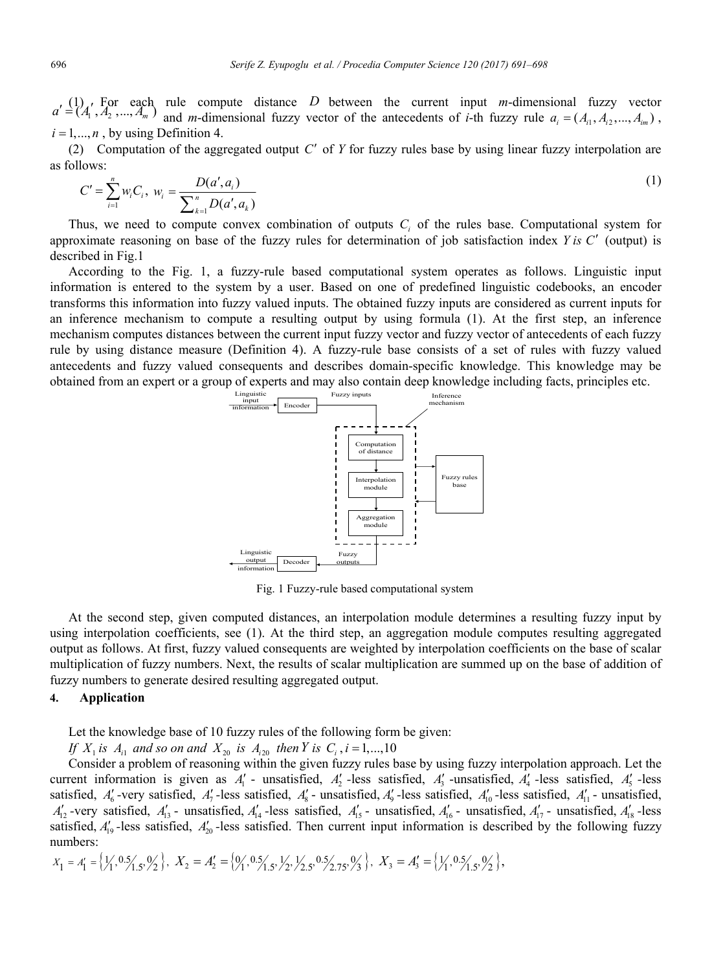$a' = (A_1, A_2, ..., A_m)$  and m-dimensional fuzzy vector of the antecedents of *i*-th fuzzy rule  $a_i = (A_1, A_2, ..., A_m)$  and m-dimensional fuzzy vector of the antecedents of *i*-th fuzzy rule  $a_i = (A_1, A_2, ..., A_m)$ ,  $i = 1, \ldots, n$ , by using Definition 4.

(2) Computation of the aggregated output *C* of *Y* for fuzzy rules base by using linear fuzzy interpolation are as follows:

$$
C' = \sum_{i=1}^{n} w_i C_i, \ w_i = \frac{D(a', a_i)}{\sum_{k=1}^{n} D(a', a_k)} \tag{1}
$$

Thus, we need to compute convex combination of outputs  $C<sub>i</sub>$  of the rules base. Computational system for approximate reasoning on base of the fuzzy rules for determination of job satisfaction index *Y is C* (output) is described in Fig.1

According to the Fig. 1, a fuzzy-rule based computational system operates as follows. Linguistic input information is entered to the system by a user. Based on one of predefined linguistic codebooks, an encoder transforms this information into fuzzy valued inputs. The obtained fuzzy inputs are considered as current inputs for an inference mechanism to compute a resulting output by using formula (1). At the first step, an inference mechanism computes distances between the current input fuzzy vector and fuzzy vector of antecedents of each fuzzy rule by using distance measure (Definition 4). A fuzzy-rule base consists of a set of rules with fuzzy valued antecedents and fuzzy valued consequents and describes domain-specific knowledge. This knowledge may be obtained from an expert or a group of experts and may also contain deep knowledge including facts, principles etc.



Fig. 1 Fuzzy-rule based computational system

At the second step, given computed distances, an interpolation module determines a resulting fuzzy input by using interpolation coefficients, see (1). At the third step, an aggregation module computes resulting aggregated output as follows. At first, fuzzy valued consequents are weighted by interpolation coefficients on the base of scalar multiplication of fuzzy numbers. Next, the results of scalar multiplication are summed up on the base of addition of fuzzy numbers to generate desired resulting aggregated output.

#### **4. Application**

Let the knowledge base of 10 fuzzy rules of the following form be given:

*If*  $X_1$  *is*  $A_{i1}$  *and so on and*  $X_{20}$  *is*  $A_{i20}$  *then Y is*  $C_i$ , *i* = 1,...,10

Consider a problem of reasoning within the given fuzzy rules base by using fuzzy interpolation approach. Let the current information is given as  $A'_1$  - unsatisfied,  $A'_2$  -less satisfied,  $A'_3$  -unsatisfied,  $A'_4$  -less satisfied,  $A'_5$  -less satisfied,  $A'_6$ -very satisfied,  $A'_7$ -less satisfied,  $A'_8$ - unsatisfied,  $A'_9$ -less satisfied,  $A'_{10}$ -less satisfied,  $A'_{11}$ - unsatisfied,  $A'_1$  *-very satisfied,*  $A'_1$  *- unsatisfied,*  $A'_1$  *<i>-less satisfied,*  $A'_1$  *- unsatisfied,*  $A'_1$  *- unsatisfied,*  $A'_1$  *- unsatisfied,*  $A'_1$  *- less* satisfied,  $A'_{19}$ -less satisfied,  $A'_{20}$ -less satisfied. Then current input information is described by the following fuzzy numbers:

$$
X_1 = A_1' = \left\{ \begin{matrix} 1/0.5/0.0 \\ 1/1.5/2 \end{matrix} \right\}, \ X_2 = A_2' = \left\{ \begin{matrix} 0/0.5/0.0 \\ 0/1.5/2 \end{matrix} \right\}, \ \begin{matrix} 0.5/0.5/0.0 \\ 0/1.5/2 \end{matrix}, \ \begin{matrix} 0.5/0.5/0.0 \\ 0/1.5/2 \end{matrix} \right\}, \ X_3 = A_4' = \left\{ \begin{matrix} 1/0.5/0.0 \\ 0/1.5/2 \end{matrix} \right\},
$$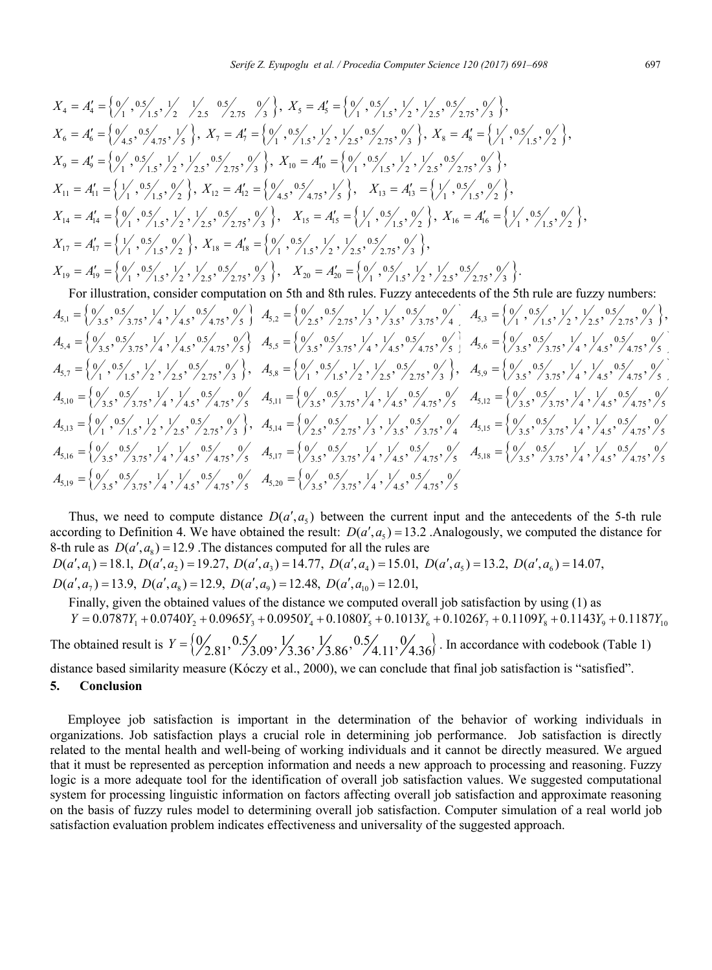$$
X_4 = A'_4 = \begin{cases} 0 & 0.5/15 \\ 1 & 0.5/25 \end{cases}, \quad\n\begin{cases} 0 & 0.5/25 \\ 2.75 & 0.5/255 \end{cases}, \quad\nX_5 = A'_5 = \begin{cases} 0 & 0.5/15 \\ 0 & 0.5/255 \end{cases}, \quad\n\begin{cases} 0 & 0.5/25 \\ 2.75 & 0.5/255 \end{cases}, \quad\nX_6 = A'_6 = \begin{cases} 0 & 0.5/15 \\ 4.5/15 & 0.5/255 \end{cases}, \quad\nX_7 = A'_7 = \begin{cases} 0 & 0.5/15 \\ 0 & 0.5/155 \end{cases}, \quad\n\begin{cases} 0 & 0.5/15 \\ 0 & 0.5/255 \end{cases}, \quad\n\begin{cases} 0 & 0.5/15 \\ 0 & 0.5/255 \end{cases}, \quad\nX_8 = A'_8 = \begin{cases} 0 & 0.5/15 \\ 0 & 0.5/155 \end{cases}, \quad\nX_9 = A'_9 = \begin{cases} 0 & 0.5/15 \\ 1 & 0.5/155 \end{cases}, \quad\nX_{10} = A'_{10} = \begin{cases} 0 & 0.5/15 \\ 0 & 0.5/155 \end{cases}, \quad\nX_{11} = A'_{11} = \begin{cases} 1 & 0.5/15 \\ 1 & 0.5/155 \end{cases}, \quad\nX_{12} = A'_{12} = \begin{cases} 0 & 0.5/15 \\ 4.5/155 & 0.5/155 \end{cases}, \quad\nX_{13} = A'_{13} = \begin{cases} 1 & 0.5/15 \\ 1 & 0.5/155 \end{cases}, \quad\nX_{14} = A'_{14} = \begin{cases} 0 & 0.5/15 \\ 0 & 0.5/155 \end{cases}, \quad\nX_{15} = A'_{15} = \begin{cases} 1 & 0.5/15 \\ 1 & 0.5/155 \end{cases}, \quad\nX_{16} = A'_{16} = \begin{cases} 1 & 0.5/15 \\ 1 & 0.5/155 \end{cases}, \quad\nX_{17} = A'_{
$$

For illustration, consider computation on 5th and 8th rules. Fuzzy antecedents of the 5th rule are fuzzy numbers:  
\n
$$
A_{5,1} = \left\{9'_{3,5}, 0.5/1, 1/4, 0.5/4, 0.5/4, 0.5/4, 0.5/4, 0.5/4, 0.5/4, 0.5/4, 0.5/4, 0.5/4, 0.5/4, 0.5/4, 0.5/4, 0.5/4, 0.5/4, 0.5/4, 0.5/4, 0.5/4, 0.5/4, 0.5/4, 0.5/4, 0.5/4, 0.5/4, 0.5/4, 0.5/4, 0.5/4, 0.5/4, 0.5/4, 0.5/4, 0.5/4, 0.5/4, 0.5/4, 0.5/4, 0.5/4, 0.5/4, 0.5/4, 0.5/4, 0.5/4, 0.5/4, 0.5/4, 0.5/4, 0.5/4, 0.5/4, 0.5/4, 0.5/4, 0.5/4, 0.5/4, 0.5/4, 0.5/4, 0.5/4, 0.5/4, 0.5/4, 0.5/4, 0.5/4, 0.5/4, 0.5/4, 0.5/4, 0.5/4, 0.5/4, 0.5/4, 0.5/4, 0.5/4, 0.5/4, 0.5/4, 0.5/4, 0.5/4, 0.5/4, 0.5/4, 0.5/4, 0.5/4, 0.5/4, 0.5/4, 0.5/4, 0.5/4, 0.5/4, 0.5/4, 0.5/4, 0.5/4, 0.5/4, 0.5/4, 0.5/4, 0.5/4, 0.5/4, 0.5/4, 0.5/4, 0.5/4, 0.5/4, 0.5/4, 0.5/4, 0.5/4, 0.5/4, 0.5/4, 0.5/4, 0.5/4, 0.5/4, 0.5/4, 0.5/4, 0.5/4, 0.5/4, 0.5/4, 0.
$$

Thus, we need to compute distance  $D(a', a<sub>5</sub>)$  between the current input and the antecedents of the 5-th rule according to Definition 4. We have obtained the result:  $D(a', a<sub>s</sub>) = 13.2$ . Analogously, we computed the distance for 8-th rule as  $D(a', a_{s}) = 12.9$ . The distances computed for all the rules are

 $D(a', a_1) = 18.1, D(a', a_2) = 19.27, D(a', a_3) = 14.77, D(a', a_4) = 15.01, D(a', a_5) = 13.2, D(a', a_6) = 14.07,$ 

 $D(a', a_{7}) = 13.9, D(a', a_{8}) = 12.9, D(a', a_{9}) = 12.48, D(a', a_{10}) = 12.01,$ 

Finally, given the obtained values of the distance we computed overall job satisfaction by using (1) as  $Y = 0.0787 Y_1 + 0.0740 Y_2 + 0.0965 Y_3 + 0.0950 Y_4 + 0.1080 Y_5 + 0.1013 Y_6 + 0.1026 Y_7 + 0.1109 Y_8 + 0.1143 Y_9 + 0.1187 Y_{10}$ The obtained result is  $Y = \left\{ \frac{0}{281}, \frac{0.5}{3.09}, \frac{1}{3.36}, \frac{1}{3.86}, \frac{0.5}{4.11}, \frac{0}{4.36} \right\}$ . In accordance with codebook (Table 1) distance based similarity measure (Kóczy et al., 2000), we can conclude that final job satisfaction is "satisfied".

### **5. Conclusion**

Employee job satisfaction is important in the determination of the behavior of working individuals in organizations. Job satisfaction plays a crucial role in determining job performance. Job satisfaction is directly related to the mental health and well-being of working individuals and it cannot be directly measured. We argued that it must be represented as perception information and needs a new approach to processing and reasoning. Fuzzy logic is a more adequate tool for the identification of overall job satisfaction values. We suggested computational system for processing linguistic information on factors affecting overall job satisfaction and approximate reasoning on the basis of fuzzy rules model to determining overall job satisfaction. Computer simulation of a real world job satisfaction evaluation problem indicates effectiveness and universality of the suggested approach.